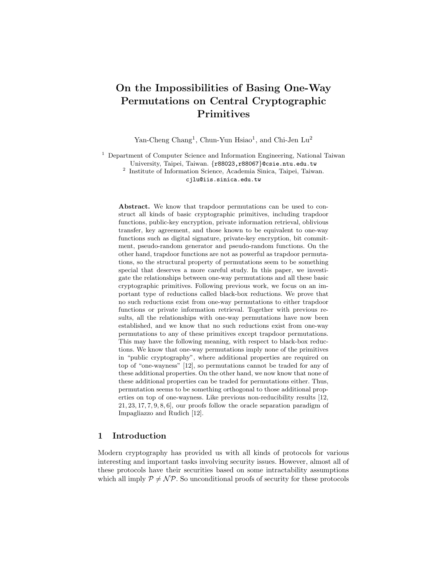# On the Impossibilities of Basing One-Way Permutations on Central Cryptographic Primitives

Yan-Cheng Chang<sup>1</sup>, Chun-Yun Hsiao<sup>1</sup>, and Chi-Jen Lu<sup>2</sup>

<sup>1</sup> Department of Computer Science and Information Engineering, National Taiwan University, Taipei, Taiwan. {r88023,r88067}@csie.ntu.edu.tw

<sup>2</sup> Institute of Information Science, Academia Sinica, Taipei, Taiwan. cjlu@iis.sinica.edu.tw

Abstract. We know that trapdoor permutations can be used to construct all kinds of basic cryptographic primitives, including trapdoor functions, public-key encryption, private information retrieval, oblivious transfer, key agreement, and those known to be equivalent to one-way functions such as digital signature, private-key encryption, bit commitment, pseudo-random generator and pseudo-random functions. On the other hand, trapdoor functions are not as powerful as trapdoor permutations, so the structural property of permutations seem to be something special that deserves a more careful study. In this paper, we investigate the relationships between one-way permutations and all these basic cryptographic primitives. Following previous work, we focus on an important type of reductions called black-box reductions. We prove that no such reductions exist from one-way permutations to either trapdoor functions or private information retrieval. Together with previous results, all the relationships with one-way permutations have now been established, and we know that no such reductions exist from one-way permutations to any of these primitives except trapdoor permutations. This may have the following meaning, with respect to black-box reductions. We know that one-way permutations imply none of the primitives in "public cryptography", where additional properties are required on top of "one-wayness" [12], so permutations cannot be traded for any of these additional properties. On the other hand, we now know that none of these additional properties can be traded for permutations either. Thus, permutation seems to be something orthogonal to those additional properties on top of one-wayness. Like previous non-reducibility results [12, 21, 23, 17, 7, 9, 8, 6], our proofs follow the oracle separation paradigm of Impagliazzo and Rudich [12].

## 1 Introduction

Modern cryptography has provided us with all kinds of protocols for various interesting and important tasks involving security issues. However, almost all of these protocols have their securities based on some intractability assumptions which all imply  $P \neq \mathcal{NP}$ . So unconditional proofs of security for these protocols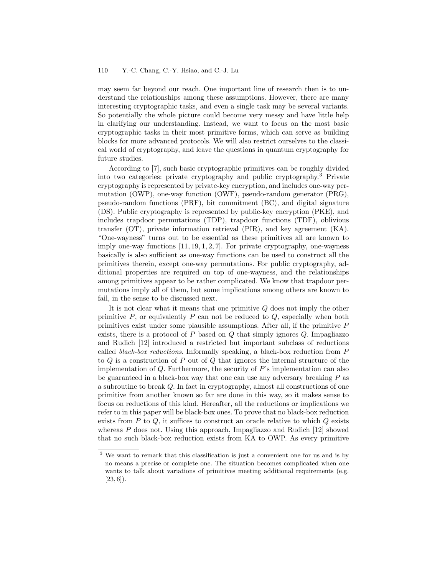#### 110 Y.-C. Chang, C.-Y. Hsiao, and C.-J. Lu

may seem far beyond our reach. One important line of research then is to understand the relationships among these assumptions. However, there are many interesting cryptographic tasks, and even a single task may be several variants. So potentially the whole picture could become very messy and have little help in clarifying our understanding. Instead, we want to focus on the most basic cryptographic tasks in their most primitive forms, which can serve as building blocks for more advanced protocols. We will also restrict ourselves to the classical world of cryptography, and leave the questions in quantum cryptography for future studies.

According to [7], such basic cryptographic primitives can be roughly divided into two categories: private cryptography and public cryptography. <sup>3</sup> Private cryptography is represented by private-key encryption, and includes one-way permutation (OWP), one-way function (OWF), pseudo-random generator (PRG), pseudo-random functions (PRF), bit commitment (BC), and digital signature (DS). Public cryptography is represented by public-key encryption (PKE), and includes trapdoor permutations (TDP), trapdoor functions (TDF), oblivious transfer (OT), private information retrieval (PIR), and key agreement (KA). "One-wayness" turns out to be essential as these primitives all are known to imply one-way functions [11, 19, 1, 2, 7]. For private cryptography, one-wayness basically is also sufficient as one-way functions can be used to construct all the primitives therein, except one-way permutations. For public cryptography, additional properties are required on top of one-wayness, and the relationships among primitives appear to be rather complicated. We know that trapdoor permutations imply all of them, but some implications among others are known to fail, in the sense to be discussed next.

It is not clear what it means that one primitive Q does not imply the other primitive  $P$ , or equivalently  $P$  can not be reduced to  $Q$ , especially when both primitives exist under some plausible assumptions. After all, if the primitive  $P$ exists, there is a protocol of  $P$  based on  $Q$  that simply ignores  $Q$ . Impagliazzo and Rudich [12] introduced a restricted but important subclass of reductions called black-box reductions. Informally speaking, a black-box reduction from P to  $Q$  is a construction of  $P$  out of  $Q$  that ignores the internal structure of the implementation of  $Q$ . Furthermore, the security of  $P$ 's implementation can also be guaranteed in a black-box way that one can use any adversary breaking  $P$  as a subroutine to break Q. In fact in cryptography, almost all constructions of one primitive from another known so far are done in this way, so it makes sense to focus on reductions of this kind. Hereafter, all the reductions or implications we refer to in this paper will be black-box ones. To prove that no black-box reduction exists from  $P$  to  $Q$ , it suffices to construct an oracle relative to which  $Q$  exists whereas  $P$  does not. Using this approach, Impagliazzo and Rudich [12] showed that no such black-box reduction exists from KA to OWP. As every primitive

<sup>3</sup> We want to remark that this classification is just a convenient one for us and is by no means a precise or complete one. The situation becomes complicated when one wants to talk about variations of primitives meeting additional requirements (e.g.  $[23, 6]$ ).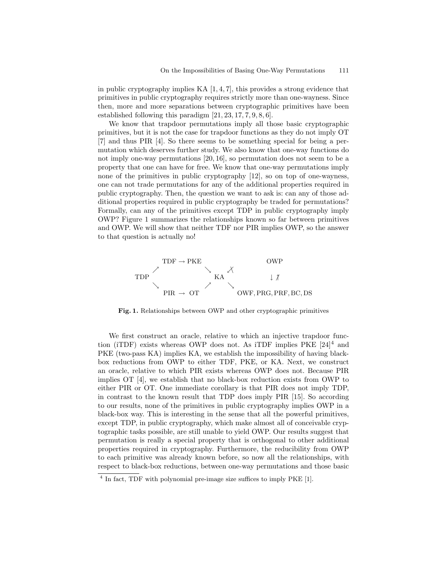in public cryptography implies KA [1, 4, 7], this provides a strong evidence that primitives in public cryptography requires strictly more than one-wayness. Since then, more and more separations between cryptographic primitives have been established following this paradigm [21, 23, 17, 7, 9, 8, 6].

We know that trapdoor permutations imply all those basic cryptographic primitives, but it is not the case for trapdoor functions as they do not imply OT [7] and thus PIR [4]. So there seems to be something special for being a permutation which deserves further study. We also know that one-way functions do not imply one-way permutations [20, 16], so permutation does not seem to be a property that one can have for free. We know that one-way permutations imply none of the primitives in public cryptography [12], so on top of one-wayness, one can not trade permutations for any of the additional properties required in public cryptography. Then, the question we want to ask is: can any of those additional properties required in public cryptography be traded for permutations? Formally, can any of the primitives except TDP in public cryptography imply OWP? Figure 1 summarizes the relationships known so far between primitives and OWP. We will show that neither TDF nor PIR implies OWP, so the answer to that question is actually no!



Fig. 1. Relationships between OWP and other cryptographic primitives

We first construct an oracle, relative to which an injective trapdoor function (iTDF) exists whereas OWP does not. As iTDF implies  $PKE$  [24]<sup>4</sup> and PKE (two-pass KA) implies KA, we establish the impossibility of having blackbox reductions from OWP to either TDF, PKE, or KA. Next, we construct an oracle, relative to which PIR exists whereas OWP does not. Because PIR implies OT [4], we establish that no black-box reduction exists from OWP to either PIR or OT. One immediate corollary is that PIR does not imply TDP, in contrast to the known result that TDP does imply PIR [15]. So according to our results, none of the primitives in public cryptography implies OWP in a black-box way. This is interesting in the sense that all the powerful primitives, except TDP, in public cryptography, which make almost all of conceivable cryptographic tasks possible, are still unable to yield OWP. Our results suggest that permutation is really a special property that is orthogonal to other additional properties required in cryptography. Furthermore, the reducibility from OWP to each primitive was already known before, so now all the relationships, with respect to black-box reductions, between one-way permutations and those basic

<sup>&</sup>lt;sup>4</sup> In fact, TDF with polynomial pre-image size suffices to imply PKE [1].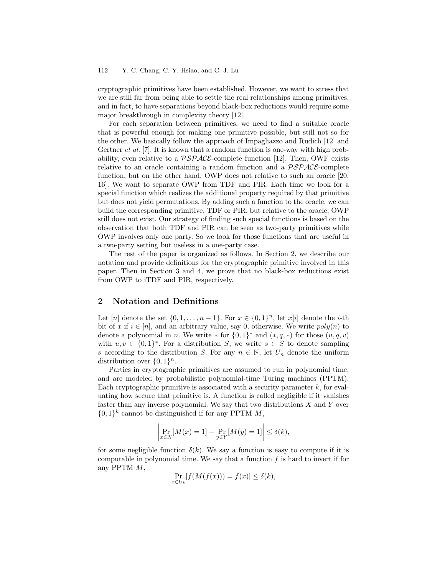#### 112 Y.-C. Chang, C.-Y. Hsiao, and C.-J. Lu

cryptographic primitives have been established. However, we want to stress that we are still far from being able to settle the real relationships among primitives, and in fact, to have separations beyond black-box reductions would require some major breakthrough in complexity theory [12].

For each separation between primitives, we need to find a suitable oracle that is powerful enough for making one primitive possible, but still not so for the other. We basically follow the approach of Impagliazzo and Rudich [12] and Gertner *et al.* [7]. It is known that a random function is one-way with high probability, even relative to a  $\mathcal{PSPACE}$ -complete function [12]. Then, OWF exists relative to an oracle containing a random function and a  $\mathcal{PSPACE}\text{-complete}$ function, but on the other hand, OWP does not relative to such an oracle [20, 16]. We want to separate OWP from TDF and PIR. Each time we look for a special function which realizes the additional property required by that primitive but does not yield permutations. By adding such a function to the oracle, we can build the corresponding primitive, TDF or PIR, but relative to the oracle, OWP still does not exist. Our strategy of finding such special functions is based on the observation that both TDF and PIR can be seen as two-party primitives while OWP involves only one party. So we look for those functions that are useful in a two-party setting but useless in a one-party case.

The rest of the paper is organized as follows. In Section 2, we describe our notation and provide definitions for the cryptographic primitive involved in this paper. Then in Section 3 and 4, we prove that no black-box reductions exist from OWP to iTDF and PIR, respectively.

## 2 Notation and Definitions

Let  $[n]$  denote the set  $\{0, 1, \ldots, n-1\}$ . For  $x \in \{0, 1\}^n$ , let  $x[i]$  denote the *i*-th bit of x if  $i \in [n]$ , and an arbitrary value, say 0, otherwise. We write  $poly(n)$  to denote a polynomial in n. We write  $*$  for  $\{0,1\}^*$  and  $(*, q, *)$  for those  $(u, q, v)$ with  $u, v \in \{0, 1\}^*$ . For a distribution S, we write  $s \in S$  to denote sampling s according to the distribution S. For any  $n \in \mathbb{N}$ , let  $U_n$  denote the uniform distribution over  $\{0,1\}^n$ .

Parties in cryptographic primitives are assumed to run in polynomial time, and are modeled by probabilistic polynomial-time Turing machines (PPTM). Each cryptographic primitive is associated with a security parameter  $k$ , for evaluating how secure that primitive is. A function is called negligible if it vanishes faster than any inverse polynomial. We say that two distributions  $X$  and  $Y$  over  $\{0,1\}^k$  cannot be distinguished if for any PPTM  $M$ ,

$$
\left| \Pr_{x \in X} [M(x) = 1] - \Pr_{y \in Y} [M(y) = 1] \right| \le \delta(k),
$$

for some negligible function  $\delta(k)$ . We say a function is easy to compute if it is computable in polynomial time. We say that a function  $f$  is hard to invert if for any PPTM M,

$$
\Pr_{x \in U_k} [f(M(f(x))) = f(x)] \le \delta(k),
$$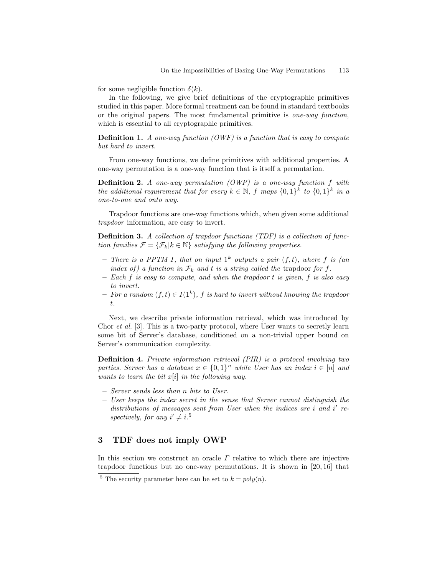for some negligible function  $\delta(k)$ .

In the following, we give brief definitions of the cryptographic primitives studied in this paper. More formal treatment can be found in standard textbooks or the original papers. The most fundamental primitive is one-way function, which is essential to all cryptographic primitives.

**Definition 1.** A one-way function  $(OWF)$  is a function that is easy to compute but hard to invert.

From one-way functions, we define primitives with additional properties. A one-way permutation is a one-way function that is itself a permutation.

**Definition 2.** A one-way permutation  $(OWP)$  is a one-way function f with the additional requirement that for every  $k \in \mathbb{N}$ , f maps  $\{0,1\}^k$  to  $\{0,1\}^k$  in a one-to-one and onto way.

Trapdoor functions are one-way functions which, when given some additional trapdoor information, are easy to invert.

Definition 3. A collection of trapdoor functions (TDF) is a collection of function families  $\mathcal{F} = \{ \mathcal{F}_k | k \in \mathbb{N} \}$  satisfying the following properties.

- There is a PPTM I, that on input  $1^k$  outputs a pair  $(f, t)$ , where f is (an index of) a function in  $\mathcal{F}_k$  and t is a string called the trapdoor for f.
- $-$  Each f is easy to compute, and when the trapdoor t is given, f is also easy to invert.
- $-$  For a random  $(f,t) \in I(1^k)$ ,  $f$  is hard to invert without knowing the trapdoor t.

Next, we describe private information retrieval, which was introduced by Chor et al. [3]. This is a two-party protocol, where User wants to secretly learn some bit of Server's database, conditioned on a non-trivial upper bound on Server's communication complexity.

Definition 4. Private information retrieval (PIR) is a protocol involving two parties. Server has a database  $x \in \{0,1\}^n$  while User has an index  $i \in [n]$  and wants to learn the bit  $x[i]$  in the following way.

- Server sends less than n bits to User.
- User keeps the index secret in the sense that Server cannot distinguish the  $distributions of messages sent from User when the indices are i and i' re$ spectively, for any  $i' \neq i$ <sup>5</sup>

## 3 TDF does not imply OWP

In this section we construct an oracle  $\Gamma$  relative to which there are injective trapdoor functions but no one-way permutations. It is shown in [20, 16] that

<sup>&</sup>lt;sup>5</sup> The security parameter here can be set to  $k = poly(n)$ .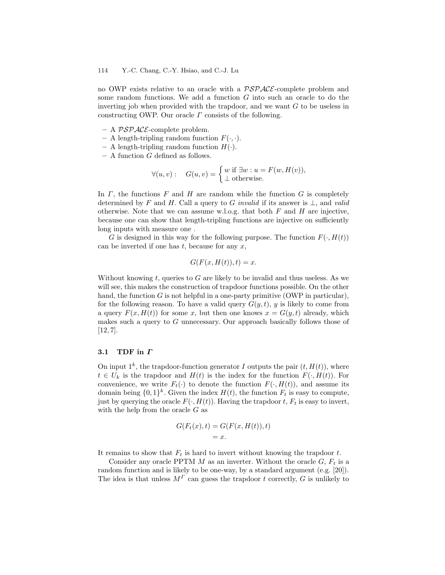no OWP exists relative to an oracle with a  $\mathcal{PSPACE}$ -complete problem and some random functions. We add a function G into such an oracle to do the inverting job when provided with the trapdoor, and we want  $G$  to be useless in constructing OWP. Our oracle  $\Gamma$  consists of the following.

- $A PSPACE$ -complete problem.
- A length-tripling random function  $F(\cdot, \cdot)$ .
- A length-tripling random function  $H(\cdot)$ .
- $-$  A function  $G$  defined as follows.

$$
\forall (u, v): \quad G(u, v) = \begin{cases} w \text{ if } \exists w : u = F(w, H(v)), \\ \bot \text{ otherwise.} \end{cases}
$$

In  $\Gamma$ , the functions  $F$  and  $H$  are random while the function  $G$  is completely determined by F and H. Call a query to G invalid if its answer is  $\perp$ , and valid otherwise. Note that we can assume w.l.o.g. that both  $F$  and  $H$  are injective, because one can show that length-tripling functions are injective on sufficiently long inputs with measure one .

G is designed in this way for the following purpose. The function  $F(\cdot, H(t))$ can be inverted if one has  $t$ , because for any  $x$ ,

$$
G(F(x, H(t)), t) = x.
$$

Without knowing t, queries to G are likely to be invalid and thus useless. As we will see, this makes the construction of trapdoor functions possible. On the other hand, the function  $G$  is not helpful in a one-party primitive (OWP in particular), for the following reason. To have a valid query  $G(y, t)$ , y is likely to come from a query  $F(x, H(t))$  for some x, but then one knows  $x = G(y, t)$  already, which makes such a query to G unnecessary. Our approach basically follows those of [12, 7].

# 3.1 TDF in Γ

On input  $1^k$ , the trapdoor-function generator I outputs the pair  $(t, H(t))$ , where  $t \in U_k$  is the trapdoor and  $H(t)$  is the index for the function  $F(\cdot, H(t))$ . For convenience, we write  $F_t(\cdot)$  to denote the function  $F(\cdot, H(t))$ , and assume its domain being  $\{0,1\}^k$ . Given the index  $H(t)$ , the function  $F_t$  is easy to compute, just by querying the oracle  $F(\cdot, H(t))$ . Having the trapdoor t,  $F_t$  is easy to invert, with the help from the oracle  $G$  as

$$
G(Ft(x), t) = G(F(x, H(t)), t)
$$
  
= x.

It remains to show that  $F_t$  is hard to invert without knowing the trapdoor t.

Consider any oracle PPTM M as an inverter. Without the oracle  $G, F_t$  is a random function and is likely to be one-way, by a standard argument (e.g. [20]). The idea is that unless  $M^{\Gamma}$  can guess the trapdoor t correctly, G is unlikely to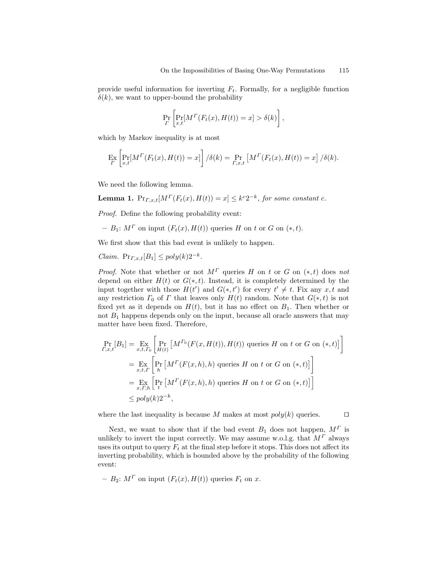provide useful information for inverting  $F_t$ . Formally, for a negligible function  $\delta(k)$ , we want to upper-bound the probability

$$
\Pr_{\Gamma} \left[ \Pr_{x,t} [M^{\Gamma}(F_t(x), H(t)) = x] > \delta(k) \right],
$$

which by Markov inequality is at most

$$
\underset{\Gamma}{\text{Ex}}\left[\underset{x,t}{\text{Pr}}[M^{\Gamma}(F_t(x),H(t))=x]\right]/\delta(k)=\underset{\Gamma,x,t}{\text{Pr}}\left[M^{\Gamma}(F_t(x),H(t))=x\right]/\delta(k).
$$

We need the following lemma.

**Lemma 1.**  $Pr_{T,x,t}[M^{\Gamma}(F_t(x), H(t)) = x] \leq k^c 2^{-k}$ , for some constant c.

Proof. Define the following probability event:

 $-B_1: M^{\Gamma}$  on input  $(F_t(x), H(t))$  queries H on t or G on  $(*, t)$ .

We first show that this bad event is unlikely to happen.

Claim.  $Pr_{\Gamma,x,t}[B_1] \leq poly(k)2^{-k}$ .

*Proof.* Note that whether or not  $M<sup>\Gamma</sup>$  queries H on t or G on  $(*,t)$  does not depend on either  $H(t)$  or  $G(*,t)$ . Instead, it is completely determined by the input together with those  $H(t')$  and  $G(*, t')$  for every  $t' \neq t$ . Fix any  $x, t$  and any restriction  $\Gamma_0$  of  $\Gamma$  that leaves only  $H(t)$  random. Note that  $G(*,t)$  is not fixed yet as it depends on  $H(t)$ , but it has no effect on  $B_1$ . Then whether or not  $B_1$  happens depends only on the input, because all oracle answers that may matter have been fixed. Therefore,

$$
\Pr_{\Gamma,x,t}[B_1] = \Pr_{x,t,T_0} \left[ \Pr_{H(t)} \left[ M^{T_0}(F(x,H(t)), H(t)) \text{ queries } H \text{ on } t \text{ or } G \text{ on } (*,t) \right] \right]
$$
\n
$$
= \Pr_{x,t,T} \left[ \Pr_{h} \left[ M^{\Gamma}(F(x,h),h) \text{ queries } H \text{ on } t \text{ or } G \text{ on } (*,t) \right] \right]
$$
\n
$$
= \Pr_{x,T,h} \left[ \Pr_{t} \left[ M^{\Gamma}(F(x,h),h) \text{ queries } H \text{ on } t \text{ or } G \text{ on } (*,t) \right] \right]
$$
\n
$$
\leq \text{poly}(k) 2^{-k},
$$

where the last inequality is because M makes at most  $poly(k)$  queries.  $\Box$ 

Next, we want to show that if the bad event  $B_1$  does not happen,  $M^{\Gamma}$  is unlikely to invert the input correctly. We may assume w.o.l.g. that  $M<sup>\Gamma</sup>$  always uses its output to query  $F_t$  at the final step before it stops. This does not affect its inverting probability, which is bounded above by the probability of the following event:

–  $B_2$ :  $M^{\Gamma}$  on input  $(F_t(x), H(t))$  queries  $F_t$  on x.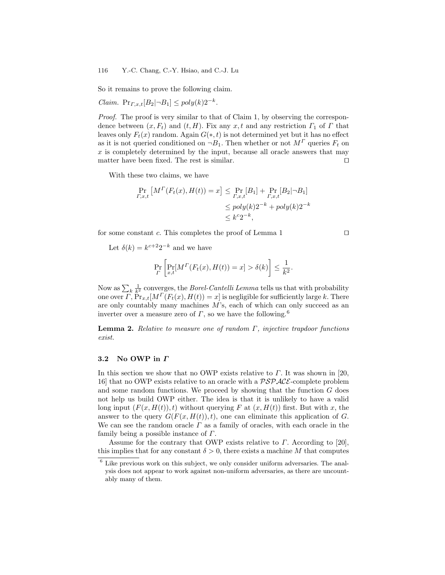So it remains to prove the following claim.

$$
Claim. \ \Pr_{T,x,t}[B_2|\neg B_1] \leq poly(k)2^{-k}
$$

Proof. The proof is very similar to that of Claim 1, by observing the correspondence between  $(x, F_t)$  and  $(t, H)$ . Fix any  $x, t$  and any restriction  $\Gamma_1$  of  $\Gamma$  that leaves only  $F_t(x)$  random. Again  $G(*,t)$  is not determined yet but it has no effect as it is not queried conditioned on  $\neg B_1$ . Then whether or not  $M^{\Gamma}$  queries  $F_t$  on  $x$  is completely determined by the input, because all oracle answers that may matter have been fixed. The rest is similar.  $\Box$ 

.

With these two claims, we have

$$
\Pr_{\Gamma,x,t} \left[ M^{\Gamma}(F_t(x), H(t)) = x \right] \leq \Pr_{\Gamma,x,t} [B_1] + \Pr_{\Gamma,x,t} [B_2 | \neg B_1]
$$
  
\n
$$
\leq \text{poly}(k) 2^{-k} + \text{poly}(k) 2^{-k}
$$
  
\n
$$
\leq k^c 2^{-k},
$$

for some constant c. This completes the proof of Lemma 1  $\Box$ 

Let  $\delta(k) = k^{c+2}2^{-k}$  and we have

$$
\Pr_{\Gamma} \left[ \Pr_{x,t} [M^{\Gamma}(F_t(x), H(t)) = x] > \delta(k) \right] \le \frac{1}{k^2}.
$$

Now as  $\sum_{k} \frac{1}{k^2}$  converges, the *Borel-Cantelli Lemma* tells us that with probability one over  $\Gamma$ ,  $Pr_{x,t}[M^{\Gamma}(F_t(x),H(t)) = x]$  is negligible for sufficiently large k. There are only countably many machines  $M$ 's, each of which can only succeed as an inverter over a measure zero of  $\Gamma$ , so we have the following.<sup>6</sup>

**Lemma 2.** Relative to measure one of random  $\Gamma$ , injective trapdoor functions exist.

## 3.2 No OWP in Γ

In this section we show that no OWP exists relative to  $\Gamma$ . It was shown in [20, 16] that no OWP exists relative to an oracle with a  $\mathcal{PSPACE}$ -complete problem and some random functions. We proceed by showing that the function  $G$  does not help us build OWP either. The idea is that it is unlikely to have a valid long input  $(F(x, H(t)), t)$  without querying F at  $(x, H(t))$  first. But with x, the answer to the query  $G(F(x, H(t)), t)$ , one can eliminate this application of G. We can see the random oracle  $\Gamma$  as a family of oracles, with each oracle in the family being a possible instance of  $\Gamma$ .

Assume for the contrary that OWP exists relative to  $\Gamma$ . According to [20], this implies that for any constant  $\delta > 0$ , there exists a machine M that computes

 $6$  Like previous work on this subject, we only consider uniform adversaries. The analysis does not appear to work against non-uniform adversaries, as there are uncountably many of them.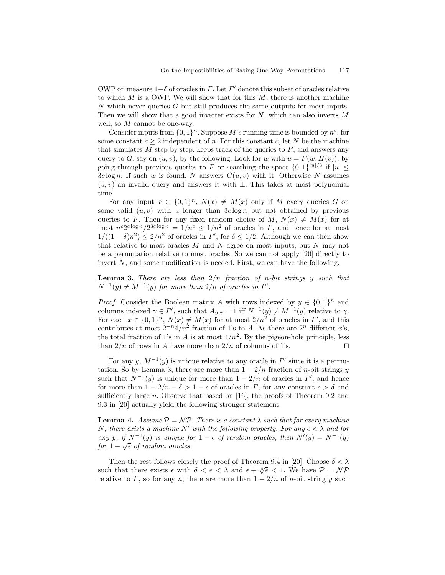OWP on measure  $1-\delta$  of oracles in  $\Gamma$ . Let  $\Gamma'$  denote this subset of oracles relative to which  $M$  is a OWP. We will show that for this  $M$ , there is another machine N which never queries G but still produces the same outputs for most inputs. Then we will show that a good inverter exists for  $N$ , which can also inverts  $M$ well, so  $M$  cannot be one-way.

Consider inputs from  $\{0, 1\}^n$ . Suppose M's running time is bounded by  $n^c$ , for some constant  $c > 2$  independent of n. For this constant c, let N be the machine that simulates  $M$  step by step, keeps track of the queries to  $F$ , and answers any query to G, say on  $(u, v)$ , by the following. Look for w with  $u = F(w, H(v))$ , by going through previous queries to F or searching the space  $\{0,1\}^{|u|/3}$  if  $|u| \le$  $3c \log n$ . If such w is found, N answers  $G(u, v)$  with it. Otherwise N assumes  $(u, v)$  an invalid query and answers it with  $\bot$ . This takes at most polynomial time.

For any input  $x \in \{0,1\}^n$ ,  $N(x) \neq M(x)$  only if M every queries G on some valid  $(u, v)$  with u longer than  $3c \log n$  but not obtained by previous queries to F. Then for any fixed random choice of M,  $N(x) \neq M(x)$  for at most  $n^c 2^{c \log n} / 2^{3c \log n} = 1/n^c \le 1/n^2$  of oracles in  $\Gamma$ , and hence for at most  $1/((1 - \delta)n^2) \leq 2/n^2$  of oracles in  $\Gamma'$ , for  $\delta \leq 1/2$ . Although we can then show that relative to most oracles M and N agree on most inputs, but N may not be a permutation relative to most oracles. So we can not apply [20] directly to invert N, and some modification is needed. First, we can have the following.

**Lemma 3.** There are less than  $2/n$  fraction of n-bit strings y such that  $N^{-1}(y) \neq M^{-1}(y)$  for more than  $2/n$  of oracles in  $\Gamma'$ .

*Proof.* Consider the Boolean matrix A with rows indexed by  $y \in \{0,1\}^n$  and columns indexed  $\gamma \in \Gamma'$ , such that  $A_{y,\gamma} = 1$  iff  $N^{-1}(y) \neq M^{-1}(y)$  relative to  $\gamma$ . For each  $x \in \{0,1\}^n$ ,  $N(x) \neq M(x)$  for at most  $2/n^2$  of oracles in  $\Gamma'$ , and this contributes at most  $2^{-n}4/n^2$  fraction of 1's to A. As there are  $2^n$  different x's, the total fraction of 1's in A is at most  $4/n^2$ . By the pigeon-hole principle, less than  $2/n$  of rows in A have more than  $2/n$  of columns of 1's.

For any y,  $M^{-1}(y)$  is unique relative to any oracle in  $\Gamma'$  since it is a permutation. So by Lemma 3, there are more than  $1 - 2/n$  fraction of n-bit strings y such that  $N^{-1}(y)$  is unique for more than  $1 - 2/n$  of oracles in  $\Gamma'$ , and hence for more than  $1 - 2/n - \delta > 1 - \epsilon$  of oracles in  $\Gamma$ , for any constant  $\epsilon > \delta$  and sufficiently large *n*. Observe that based on [16], the proofs of Theorem 9.2 and 9.3 in [20] actually yield the following stronger statement.

**Lemma 4.** Assume  $P = NP$ . There is a constant  $\lambda$  such that for every machine N, there exists a machine N' with the following property. For any  $\epsilon < \lambda$  and for any y, if  $N^{-1}(y)$  is unique for  $1 - \epsilon$  of random oracles, then  $N'(y) = N^{-1}(y)$ for  $1 - \sqrt{\epsilon}$  of random oracles.

Then the rest follows closely the proof of Theorem 9.4 in [20]. Choose  $\delta < \lambda$ such that there exists  $\epsilon$  with  $\delta < \epsilon < \lambda$  and  $\epsilon + \sqrt[4]{\epsilon} < 1$ . We have  $\mathcal{P} = \mathcal{NP}$ relative to Γ, so for any n, there are more than  $1 - 2/n$  of n-bit string y such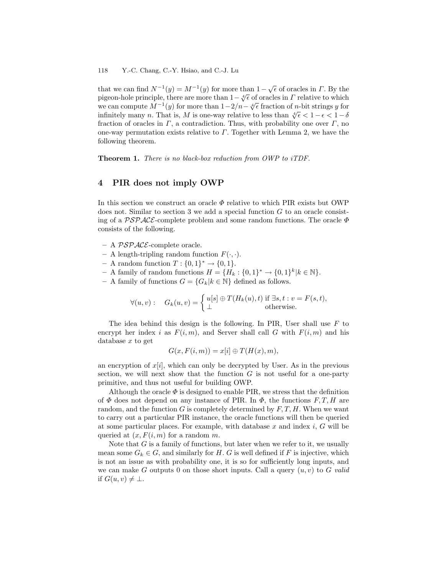that we can find  $N^{-1}(y) = M^{-1}(y)$  for more than  $1 - \sqrt{\epsilon}$  of oracles in  $\Gamma$ . By the pigeon-hole principle, there are more than  $1-\sqrt[4]{\epsilon}$  of oracles in  $\Gamma$  relative to which we can compute  $M^{-1}(y)$  for more than  $1-2/n-\sqrt[4]{\epsilon}$  fraction of n-bit strings y for infinitely many n. That is, M is one-way relative to less than  $\sqrt[4]{\epsilon} < 1 - \epsilon < 1 - \delta$ fraction of oracles in  $\Gamma$ , a contradiction. Thus, with probability one over  $\Gamma$ , no one-way permutation exists relative to  $\Gamma$ . Together with Lemma 2, we have the following theorem.

Theorem 1. There is no black-box reduction from OWP to iTDF.

## 4 PIR does not imply OWP

In this section we construct an oracle  $\Phi$  relative to which PIR exists but OWP does not. Similar to section 3 we add a special function  $G$  to an oracle consisting of a  $\mathcal{PSPACE}$ -complete problem and some random functions. The oracle  $\Phi$ consists of the following.

- A  $\mathcal{PSPACE}$ -complete oracle.
- A length-tripling random function  $F(\cdot, \cdot)$ .
- $A$  random function  $T: \{0,1\}^* \to \{0,1\}.$
- A family of random functions  $H = \{H_k : \{0,1\}^* \to \{0,1\}^k | k \in \mathbb{N}\}.$
- A family of functions  $G = \{G_k | k \in \mathbb{N}\}\$  defined as follows.

$$
\forall (u, v): \quad G_k(u, v) = \begin{cases} u[s] \oplus T(H_k(u), t) \text{ if } \exists s, t : v = F(s, t), \\ \bot & \text{otherwise.} \end{cases}
$$

The idea behind this design is the following. In PIR, User shall use  $F$  to encrypt her index i as  $F(i, m)$ , and Server shall call G with  $F(i, m)$  and his database  $x$  to get

$$
G(x, F(i, m)) = x[i] \oplus T(H(x), m),
$$

an encryption of  $x[i]$ , which can only be decrypted by User. As in the previous section, we will next show that the function  $G$  is not useful for a one-party primitive, and thus not useful for building OWP.

Although the oracle  $\Phi$  is designed to enable PIR, we stress that the definition of  $\Phi$  does not depend on any instance of PIR. In  $\Phi$ , the functions  $F, T, H$  are random, and the function G is completely determined by  $F, T, H$ . When we want to carry out a particular PIR instance, the oracle functions will then be queried at some particular places. For example, with database  $x$  and index  $i, G$  will be queried at  $(x, F(i, m)$  for a random m.

Note that  $G$  is a family of functions, but later when we refer to it, we usually mean some  $G_k \in G$ , and similarly for H. G is well defined if F is injective, which is not an issue as with probability one, it is so for sufficiently long inputs, and we can make G outputs 0 on those short inputs. Call a query  $(u, v)$  to G valid if  $G(u, v) \neq \bot$ .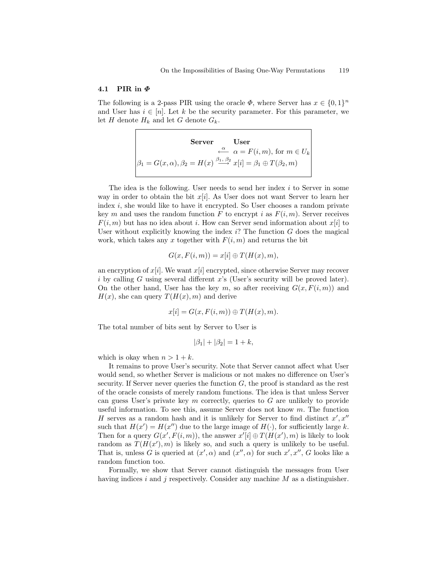#### 4.1 PIR in Φ

The following is a 2-pass PIR using the oracle  $\Phi$ , where Server has  $x \in \{0,1\}^n$ and User has  $i \in [n]$ . Let k be the security parameter. For this parameter, we let H denote  $H_k$  and let G denote  $G_k$ .

**Server** User 
$$
\xrightarrow{\alpha} \alpha = F(i, m)
$$
, for  $m \in U_k$   
 $\beta_1 = G(x, \alpha), \beta_2 = H(x) \xrightarrow{\beta_1, \beta_2} x[i] = \beta_1 \oplus T(\beta_2, m)$ 

The idea is the following. User needs to send her index  $i$  to Server in some way in order to obtain the bit  $x[i]$ . As User does not want Server to learn her index  $i$ , she would like to have it encrypted. So User chooses a random private key m and uses the random function F to encrypt i as  $F(i, m)$ . Server receives  $F(i, m)$  but has no idea about i. How can Server send information about  $x[i]$  to User without explicitly knowing the index  $i$ ? The function  $G$  does the magical work, which takes any x together with  $F(i, m)$  and returns the bit

$$
G(x, F(i, m)) = x[i] \oplus T(H(x), m),
$$

an encryption of  $x[i]$ . We want  $x[i]$  encrypted, since otherwise Server may recover i by calling G using several different  $x$ 's (User's security will be proved later). On the other hand, User has the key m, so after receiving  $G(x, F(i, m))$  and  $H(x)$ , she can query  $T(H(x), m)$  and derive

$$
x[i] = G(x, F(i, m)) \oplus T(H(x), m).
$$

The total number of bits sent by Server to User is

$$
|\beta_1| + |\beta_2| = 1 + k,
$$

which is okay when  $n > 1 + k$ .

It remains to prove User's security. Note that Server cannot affect what User would send, so whether Server is malicious or not makes no difference on User's security. If Server never queries the function  $G$ , the proof is standard as the rest of the oracle consists of merely random functions. The idea is that unless Server can guess User's private key  $m$  correctly, queries to  $G$  are unlikely to provide useful information. To see this, assume Server does not know  $m$ . The function H serves as a random hash and it is unlikely for Server to find distinct  $x', x''$ such that  $H(x') = H(x'')$  due to the large image of  $H(\cdot)$ , for sufficiently large k. Then for a query  $G(x', F(i, m))$ , the answer  $x'[i] \oplus T(H(x'), m)$  is likely to look random as  $T(H(x'), m)$  is likely so, and such a query is unlikely to be useful. That is, unless G is queried at  $(x', \alpha)$  and  $(x'', \alpha)$  for such  $x', x'', G$  looks like a random function too.

Formally, we show that Server cannot distinguish the messages from User having indices i and j respectively. Consider any machine  $M$  as a distinguisher.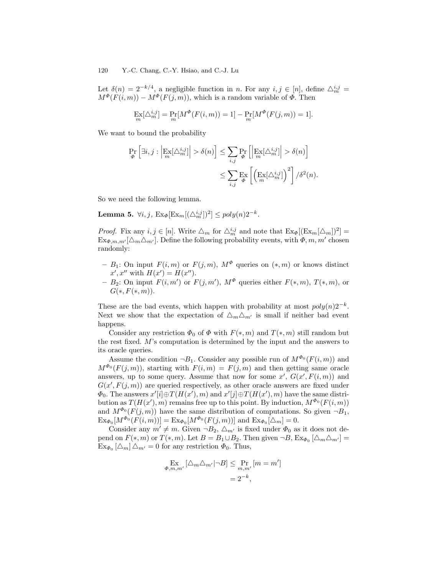#### 120 Y.-C. Chang, C.-Y. Hsiao, and C.-J. Lu

Let  $\delta(n) = 2^{-k/4}$ , a negligible function in n. For any  $i, j \in [n]$ , define  $\Delta_m^{i,j} =$  $M^{\Phi}(F(i,m)) - M^{\Phi}(F(j,m))$ , which is a random variable of  $\Phi$ . Then

$$
\mathop{\rm Ex}_{m}[\Delta^{i,j}_m] = \mathop{\rm Pr}_{m}[M^{\Phi}(F(i,m)) = 1] - \mathop{\rm Pr}_{m}[M^{\Phi}(F(j,m)) = 1].
$$

We want to bound the probability

$$
\begin{split} \Pr_{\varPhi}\left[\exists i,j: \left|\underset{m}{\text{Ex}}[\triangle^{i,j}_m]\right| > \delta(n)\right] &\leq \sum_{i,j} \Pr_{\varPhi}\left[\left|\underset{m}{\text{Ex}}[\triangle^{i,j}_m]\right| > \delta(n)\right] \\ &\leq \sum_{i,j} \Pr_{\varPhi}\left[\left(\underset{m}{\text{Ex}}[\triangle^{i,j}_m]\right)^2\right]/\delta^2(n). \end{split}
$$

So we need the following lemma.

**Lemma 5.**  $\forall i, j$ ,  $\text{Ex}_{\Phi}[\text{Ex}_{m}[(\triangle_{m}^{i,j}])^{2}] \le poly(n)2^{-k}$ .

*Proof.* Fix any  $i, j \in [n]$ . Write  $\Delta_m$  for  $\Delta_m^{i,j}$  and note that  $\text{Ex}_{\Phi}[(\text{Ex}_{m}[\Delta_m])^2] =$  $\text{Ex}_{\Phi,m,m'}[\Delta_m\Delta_{m'}]$ . Define the following probability events, with  $\Phi, m, m'$  chosen randomly:

- $B_1$ : On input  $F(i, m)$  or  $F(j, m)$ ,  $M^{\Phi}$  queries on  $(*, m)$  or knows distinct  $x', x''$  with  $H(x') = H(x'')$ .
- $-P_2$ : On input  $F(i, m')$  or  $F(j, m')$ ,  $M^{\Phi}$  queries either  $F(*, m)$ ,  $T(*, m)$ , or  $G(*, F(*, m)).$

These are the bad events, which happen with probability at most  $poly(n)2^{-k}$ . Next we show that the expectation of  $\Delta_m\Delta_{m'}$  is small if neither bad event happens.

Consider any restriction  $\Phi_0$  of  $\Phi$  with  $F(*, m)$  and  $T(*, m)$  still random but the rest fixed. M's computation is determined by the input and the answers to its oracle queries.

Assume the condition  $\neg B_1$ . Consider any possible run of  $M^{\Phi_0}(F(i,m))$  and  $M^{\Phi_0}(F(j,m))$ , starting with  $F(i,m) = F(j,m)$  and then getting same oracle answers, up to some query. Assume that now for some  $x'$ ,  $G(x', F(i, m))$  and  $G(x', F(j, m))$  are queried respectively, as other oracle answers are fixed under  $\Phi_0$ . The answers  $x'[i] \oplus T(H(x'), m)$  and  $x'[j] \oplus T(H(x'), m)$  have the same distribution as  $T(H(x'), m)$  remains free up to this point. By induction,  $M^{\Phi_0}(F(i,m))$ and  $M^{\Phi_0}(F(j,m))$  have the same distribution of computations. So given  $\neg B_1$ ,  $\text{Ex}_{\Phi_0}[M^{\Phi_0}(F(i,m))] = \text{Ex}_{\Phi_0}[M^{\Phi_0}(F(j,m))]$  and  $\text{Ex}_{\Phi_0}[\Delta_m] = 0$ .

Consider any  $m' \neq m$ . Given  $\neg B_2$ ,  $\triangle_{m'}$  is fixed under  $\Phi_0$  as it does not depend on  $F(*, m)$  or  $T(*, m)$ . Let  $B = B_1 \cup B_2$ . Then given  $\neg B$ ,  $\mathbb{E} \times_{\Phi_0} [\triangle_m \triangle_{m'}] =$  $\operatorname{Ex}_{\Phi_0}[\Delta_m] \Delta_{m'} = 0$  for any restriction  $\Phi_0$ . Thus,

$$
\mathop{\rm Ex}_{\Phi,m,m'}[\Delta_m \Delta_{m'} | \neg B] \leq \mathop{\rm Pr}_{m,m'}[m = m']
$$
  
= 2<sup>-k</sup>,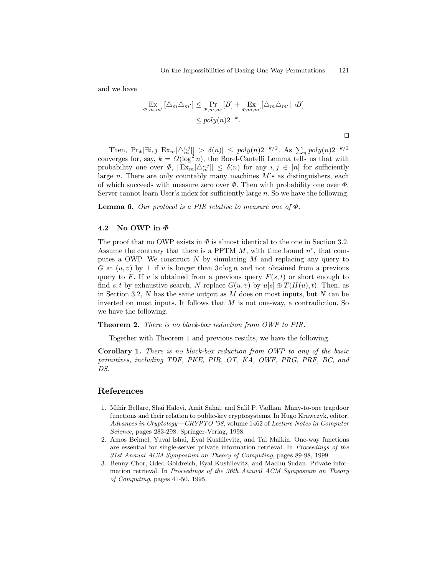$\Box$ 

and we have

$$
\mathop{\rm Ex}_{\Phi,m,m'}\left[\Delta_m\Delta_{m'}\right] \leq \mathop{\rm Pr}_{\Phi,m,m'}[B] + \mathop{\rm Ex}_{\Phi,m,m'}\left[\Delta_m\Delta_{m'}\right] \neg B]
$$
\n
$$
\leq \text{poly}(n)2^{-k}.
$$

Then,  $Pr_{\Phi}[\exists i, j]$   $\text{Ex}_{m}[\triangle_{m}^{i,j}] > \delta(n)] \leq poly(n)2^{-k/2}$ . As  $\sum_{n} poly(n)2^{-k/2}$ converges for, say,  $k = \Omega(\log^2 n)$ , the Borel-Cantelli Lemma tells us that with probability one over  $\Phi$ ,  $|\mathop{\mathrm{Ex}}\nolimits_m[\Delta_m^{i,j}]|\leq \delta(n)$  for any  $i, j \in [n]$  for sufficiently large  $n$ . There are only countably many machines  $M$ 's as distinguishers, each of which succeeds with measure zero over  $\Phi$ . Then with probability one over  $\Phi$ , Server cannot learn User's index for sufficiently large  $n$ . So we have the following.

**Lemma 6.** Our protocol is a PIR relative to measure one of  $\Phi$ .

#### 4.2 No OWP in  $\Phi$

The proof that no OWP exists in  $\Phi$  is almost identical to the one in Section 3.2. Assume the contrary that there is a PPTM  $M$ , with time bound  $n^c$ , that computes a OWP. We construct  $N$  by simulating  $M$  and replacing any query to G at  $(u, v)$  by  $\perp$  if v is longer than  $3c \log n$  and not obtained from a previous query to F. If v is obtained from a previous query  $F(s,t)$  or short enough to find s,t by exhaustive search, N replace  $G(u, v)$  by  $u[s] \oplus T(H(u), t)$ . Then, as in Section 3.2,  $N$  has the same output as  $M$  does on most inputs, but  $N$  can be inverted on most inputs. It follows that  $M$  is not one-way, a contradiction. So we have the following.

Theorem 2. There is no black-box reduction from OWP to PIR.

Together with Theorem 1 and previous results, we have the following.

Corollary 1. There is no black-box reduction from OWP to any of the basic primitives, including TDF, PKE, PIR, OT, KA, OWF, PRG, PRF, BC, and DS.

## References

- 1. Mihir Bellare, Shai Halevi, Amit Sahai, and Salil P. Vadhan. Many-to-one trapdoor functions and their relation to public-key cryptosystems. In Hugo Krawczyk, editor, Advances in Cryptology—CRYPTO '98, volume 1462 of Lecture Notes in Computer Science, pages 283-298. Springer-Verlag, 1998.
- 2. Amos Beimel, Yuval Ishai, Eyal Kushilevitz, and Tal Malkin. One-way functions are essential for single-server private information retrieval. In Proceedings of the 31st Annual ACM Symposium on Theory of Computing, pages 89-98, 1999.
- 3. Benny Chor, Oded Goldreich, Eyal Kushilevitz, and Madhu Sudan. Private information retrieval. In Proceedings of the 36th Annual ACM Symposium on Theory of Computing, pages 41-50, 1995.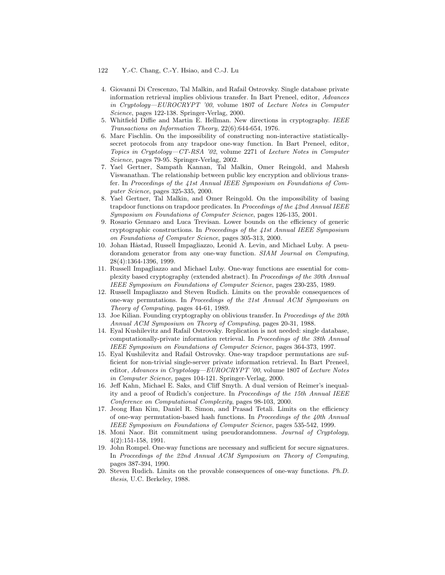- 122 Y.-C. Chang, C.-Y. Hsiao, and C.-J. Lu
- 4. Giovanni Di Crescenzo, Tal Malkin, and Rafail Ostrovsky. Single database private information retrieval implies oblivious transfer. In Bart Preneel, editor, Advances in Cryptology—EUROCRYPT '00, volume 1807 of Lecture Notes in Computer Science, pages 122-138. Springer-Verlag, 2000.
- 5. Whitfield Diffie and Martin E. Hellman. New directions in cryptography. IEEE Transactions on Information Theory, 22(6):644-654, 1976.
- 6. Marc Fischlin. On the impossibility of constructing non-interactive statisticallysecret protocols from any trapdoor one-way function. In Bart Preneel, editor, Topics in Cryptology—CT-RSA '02, volume 2271 of Lecture Notes in Computer Science, pages 79-95. Springer-Verlag, 2002.
- 7. Yael Gertner, Sampath Kannan, Tal Malkin, Omer Reingold, and Mahesh Viswanathan. The relationship between public key encryption and oblivious transfer. In Proceedings of the 41st Annual IEEE Symposium on Foundations of Computer Science, pages 325-335, 2000.
- 8. Yael Gertner, Tal Malkin, and Omer Reingold. On the impossibility of basing trapdoor functions on trapdoor predicates. In Proceedings of the 42nd Annual IEEE Symposium on Foundations of Computer Science, pages 126-135, 2001.
- 9. Rosario Gennaro and Luca Trevisan. Lower bounds on the efficiency of generic cryptographic constructions. In Proceedings of the 41st Annual IEEE Symposium on Foundations of Computer Science, pages 305-313, 2000.
- 10. Johan Håstad, Russell Impagliazzo, Leonid A. Levin, and Michael Luby. A pseudorandom generator from any one-way function. SIAM Journal on Computing, 28(4):1364-1396, 1999.
- 11. Russell Impagliazzo and Michael Luby. One-way functions are essential for complexity based cryptography (extended abstract). In Proceedings of the 30th Annual IEEE Symposium on Foundations of Computer Science, pages 230-235, 1989.
- 12. Russell Impagliazzo and Steven Rudich. Limits on the provable consequences of one-way permutations. In Proceedings of the 21st Annual ACM Symposium on Theory of Computing, pages 44-61, 1989.
- 13. Joe Kilian. Founding cryptography on oblivious transfer. In Proceedings of the 20th Annual ACM Symposium on Theory of Computing, pages 20-31, 1988.
- 14. Eyal Kushilevitz and Rafail Ostrovsky. Replication is not needed: single database, computationally-private information retrieval. In Proceedings of the 38th Annual IEEE Symposium on Foundations of Computer Science, pages 364-373, 1997.
- 15. Eyal Kushilevitz and Rafail Ostrovsky. One-way trapdoor permutations are sufficient for non-trivial single-server private information retrieval. In Bart Preneel, editor, Advances in Cryptology—EUROCRYPT '00, volume 1807 of Lecture Notes in Computer Science, pages 104-121. Springer-Verlag, 2000.
- 16. Jeff Kahn, Michael E. Saks, and Cliff Smyth. A dual version of Reimer's inequality and a proof of Rudich's conjecture. In Proceedings of the 15th Annual IEEE Conference on Computational Complexity, pages 98-103, 2000.
- 17. Jeong Han Kim, Daniel R. Simon, and Prasad Tetali. Limits on the efficiency of one-way permutation-based hash functions. In Proceedings of the 40th Annual IEEE Symposium on Foundations of Computer Science, pages 535-542, 1999.
- 18. Moni Naor. Bit commitment using pseudorandomness. Journal of Cryptology, 4(2):151-158, 1991.
- 19. John Rompel. One-way functions are necessary and sufficient for secure signatures. In Proceedings of the 22nd Annual ACM Symposium on Theory of Computing, pages 387-394, 1990.
- 20. Steven Rudich. Limits on the provable consequences of one-way functions. Ph.D. thesis, U.C. Berkeley, 1988.